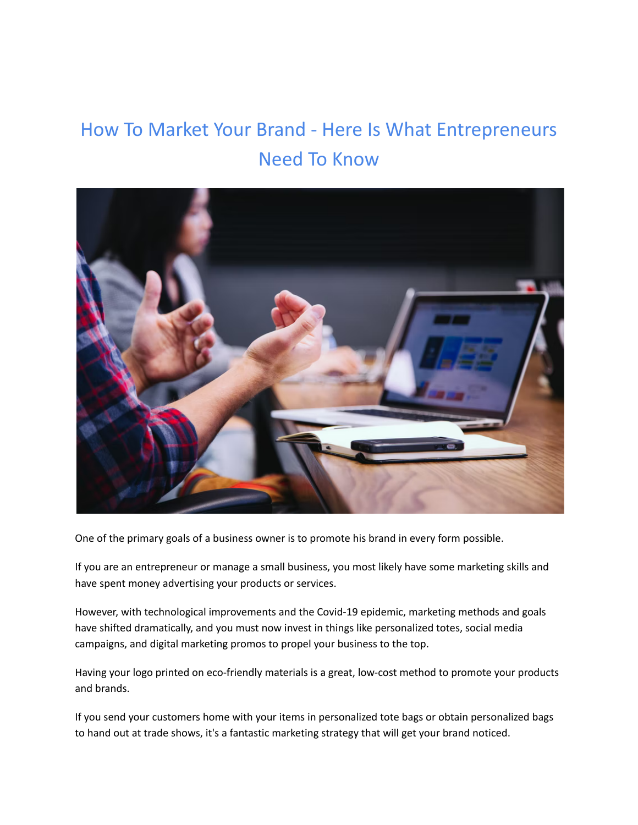# How To Market Your Brand - Here Is What Entrepreneurs Need To Know



One of the primary goals of a business owner is to promote his brand in every form possible.

If you are an entrepreneur or manage a small business, you most likely have some marketing skills and have spent money advertising your products or services.

However, with technological improvements and the Covid-19 epidemic, marketing methods and goals have shifted dramatically, and you must now invest in things like personalized totes, social media campaigns, and digital marketing promos to propel your business to the top.

Having your logo printed on eco-friendly materials is a great, low-cost method to promote your products and brands.

If you send your customers home with your items in personalized tote bags or obtain personalized bags to hand out at trade shows, it's a fantastic marketing strategy that will get your brand noticed.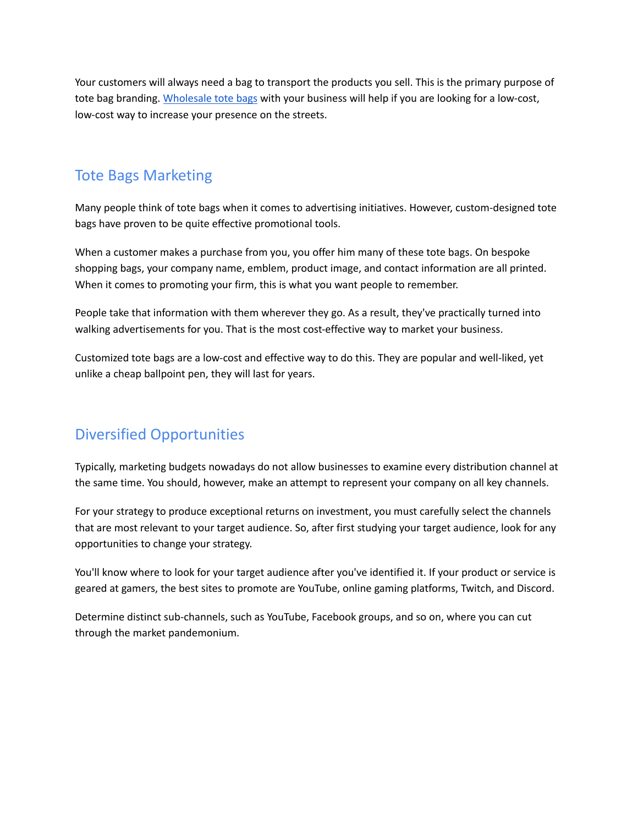Your customers will always need a bag to transport the products you sell. This is the primary purpose of tote bag branding. [Wholesale](https://www.bagmasters.com/category/custom-totes) tote bags with your business will help if you are looking for a low-cost, low-cost way to increase your presence on the streets.

#### Tote Bags Marketing

Many people think of tote bags when it comes to advertising initiatives. However, custom-designed tote bags have proven to be quite effective promotional tools.

When a customer makes a purchase from you, you offer him many of these tote bags. On bespoke shopping bags, your company name, emblem, product image, and contact information are all printed. When it comes to promoting your firm, this is what you want people to remember.

People take that information with them wherever they go. As a result, they've practically turned into walking advertisements for you. That is the most cost-effective way to market your business.

Customized tote bags are a low-cost and effective way to do this. They are popular and well-liked, yet unlike a cheap ballpoint pen, they will last for years.

### Diversified Opportunities

Typically, marketing budgets nowadays do not allow businesses to examine every distribution channel at the same time. You should, however, make an attempt to represent your company on all key channels.

For your strategy to produce exceptional returns on investment, you must carefully select the channels that are most relevant to your target audience. So, after first studying your target audience, look for any opportunities to change your strategy.

You'll know where to look for your target audience after you've identified it. If your product or service is geared at gamers, the best sites to promote are YouTube, online gaming platforms, Twitch, and Discord.

Determine distinct sub-channels, such as YouTube, Facebook groups, and so on, where you can cut through the market pandemonium.